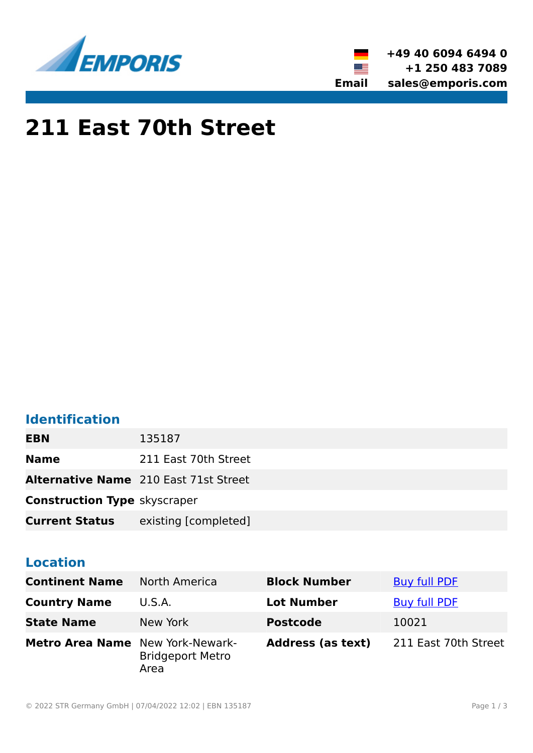



# **211 East 70th Street**

### **Identification**

| <b>EBN</b>                          | 135187                                       |
|-------------------------------------|----------------------------------------------|
| <b>Name</b>                         | 211 East 70th Street                         |
|                                     | <b>Alternative Name</b> 210 East 71st Street |
| <b>Construction Type skyscraper</b> |                                              |
| <b>Current Status</b>               | existing [completed]                         |

#### **Location**

| <b>Continent Name</b>                   | <b>North America</b>            | <b>Block Number</b>      | <b>Buy full PDF</b>  |
|-----------------------------------------|---------------------------------|--------------------------|----------------------|
| <b>Country Name</b>                     | U.S.A.                          | <b>Lot Number</b>        | <b>Buy full PDF</b>  |
| <b>State Name</b>                       | New York                        | <b>Postcode</b>          | 10021                |
| <b>Metro Area Name</b> New York-Newark- | <b>Bridgeport Metro</b><br>Area | <b>Address (as text)</b> | 211 East 70th Street |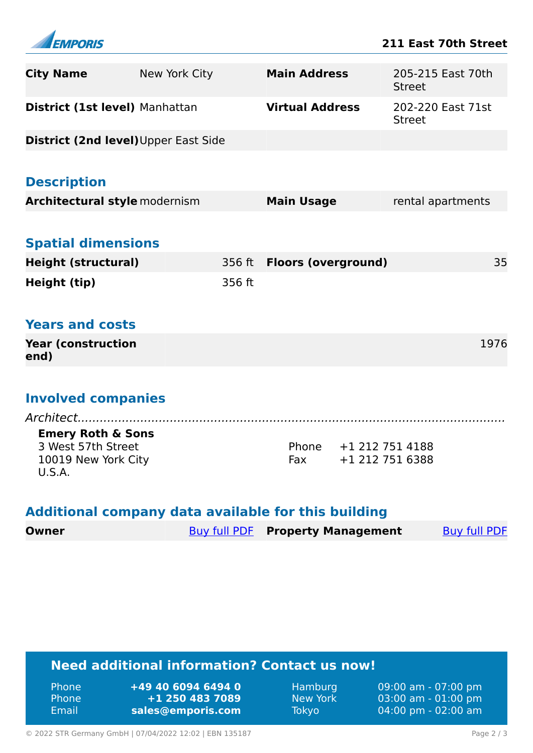

| <b>City Name</b>                                    | New York City |        | <b>Main Address</b>                     |                 | <b>Street</b> | 205-215 East 70th   |  |
|-----------------------------------------------------|---------------|--------|-----------------------------------------|-----------------|---------------|---------------------|--|
| District (1st level) Manhattan                      |               |        | <b>Virtual Address</b>                  |                 | <b>Street</b> | 202-220 East 71st   |  |
| District (2nd level) Upper East Side                |               |        |                                         |                 |               |                     |  |
|                                                     |               |        |                                         |                 |               |                     |  |
| <b>Description</b>                                  |               |        |                                         |                 |               |                     |  |
| <b>Architectural style modernism</b>                |               |        | <b>Main Usage</b>                       |                 |               | rental apartments   |  |
|                                                     |               |        |                                         |                 |               |                     |  |
| <b>Spatial dimensions</b>                           |               |        |                                         |                 |               |                     |  |
| <b>Height (structural)</b>                          |               | 356 ft | <b>Floors (overground)</b>              |                 |               | 35                  |  |
| Height (tip)                                        |               | 356 ft |                                         |                 |               |                     |  |
|                                                     |               |        |                                         |                 |               |                     |  |
| <b>Years and costs</b>                              |               |        |                                         |                 |               |                     |  |
| <b>Year (construction</b><br>end)                   |               |        |                                         |                 |               | 1976                |  |
|                                                     |               |        |                                         |                 |               |                     |  |
| <b>Involved companies</b>                           |               |        |                                         |                 |               |                     |  |
| Architect                                           |               |        |                                         |                 |               |                     |  |
| <b>Emery Roth &amp; Sons</b><br>3 West 57th Street  |               |        | Phone                                   | +1 212 751 4188 |               |                     |  |
| 10019 New York City<br><b>U.S.A.</b>                |               |        | Fax                                     | +1 212 751 6388 |               |                     |  |
| Additional company data available for this building |               |        |                                         |                 |               |                     |  |
| <b>Owner</b>                                        |               |        | <b>Buy full PDF</b> Property Management |                 |               | <b>Buy full PDF</b> |  |

## **Need additional information? Contact us now!**

| - Email<br>sales@emporis.com<br>Tokyo | - Phone<br>- Phone | +49 40 6094 6494 0<br>$+1$ 250 483 7089 | Hamburg<br>New York | 09:00 am - 07:00 pm<br>$(03:00 \text{ am} - 01:00 \text{ pm})$<br>$04:00 \text{ pm} - 02:00 \text{ am}$ |
|---------------------------------------|--------------------|-----------------------------------------|---------------------|---------------------------------------------------------------------------------------------------------|
|---------------------------------------|--------------------|-----------------------------------------|---------------------|---------------------------------------------------------------------------------------------------------|